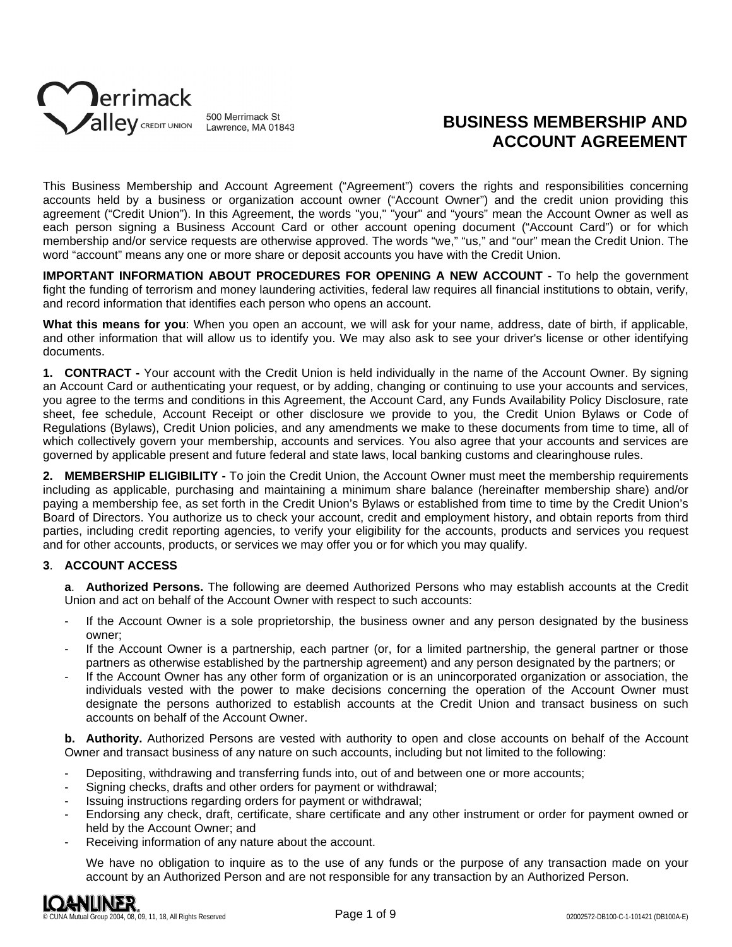

# **BUSINESS MEMBERSHIP AND ACCOUNT AGREEMENT**

This Business Membership and Account Agreement ("Agreement") covers the rights and responsibilities concerning accounts held by a business or organization account owner ("Account Owner") and the credit union providing this agreement ("Credit Union"). In this Agreement, the words "you," "your" and "yours" mean the Account Owner as well as each person signing a Business Account Card or other account opening document ("Account Card") or for which membership and/or service requests are otherwise approved. The words "we," "us," and "our" mean the Credit Union. The word "account" means any one or more share or deposit accounts you have with the Credit Union.

**IMPORTANT INFORMATION ABOUT PROCEDURES FOR OPENING A NEW ACCOUNT -** To help the government fight the funding of terrorism and money laundering activities, federal law requires all financial institutions to obtain, verify, and record information that identifies each person who opens an account.

**What this means for you**: When you open an account, we will ask for your name, address, date of birth, if applicable, and other information that will allow us to identify you. We may also ask to see your driver's license or other identifying documents.

**1. CONTRACT -** Your account with the Credit Union is held individually in the name of the Account Owner. By signing an Account Card or authenticating your request, or by adding, changing or continuing to use your accounts and services, you agree to the terms and conditions in this Agreement, the Account Card, any Funds Availability Policy Disclosure, rate sheet, fee schedule, Account Receipt or other disclosure we provide to you, the Credit Union Bylaws or Code of Regulations (Bylaws), Credit Union policies, and any amendments we make to these documents from time to time, all of which collectively govern your membership, accounts and services. You also agree that your accounts and services are governed by applicable present and future federal and state laws, local banking customs and clearinghouse rules.

**2. MEMBERSHIP ELIGIBILITY -** To join the Credit Union, the Account Owner must meet the membership requirements including as applicable, purchasing and maintaining a minimum share balance (hereinafter membership share) and/or paying a membership fee, as set forth in the Credit Union's Bylaws or established from time to time by the Credit Union's Board of Directors. You authorize us to check your account, credit and employment history, and obtain reports from third parties, including credit reporting agencies, to verify your eligibility for the accounts, products and services you request and for other accounts, products, or services we may offer you or for which you may qualify.

#### **3**. **ACCOUNT ACCESS**

**a**. **Authorized Persons.** The following are deemed Authorized Persons who may establish accounts at the Credit Union and act on behalf of the Account Owner with respect to such accounts:

- If the Account Owner is a sole proprietorship, the business owner and any person designated by the business owner;
- If the Account Owner is a partnership, each partner (or, for a limited partnership, the general partner or those partners as otherwise established by the partnership agreement) and any person designated by the partners; or
- If the Account Owner has any other form of organization or is an unincorporated organization or association, the individuals vested with the power to make decisions concerning the operation of the Account Owner must designate the persons authorized to establish accounts at the Credit Union and transact business on such accounts on behalf of the Account Owner.

**b. Authority.** Authorized Persons are vested with authority to open and close accounts on behalf of the Account Owner and transact business of any nature on such accounts, including but not limited to the following:

- Depositing, withdrawing and transferring funds into, out of and between one or more accounts;
- Signing checks, drafts and other orders for payment or withdrawal;
- Issuing instructions regarding orders for payment or withdrawal;
- Endorsing any check, draft, certificate, share certificate and any other instrument or order for payment owned or held by the Account Owner; and
- Receiving information of any nature about the account.

We have no obligation to inquire as to the use of any funds or the purpose of any transaction made on your account by an Authorized Person and are not responsible for any transaction by an Authorized Person.

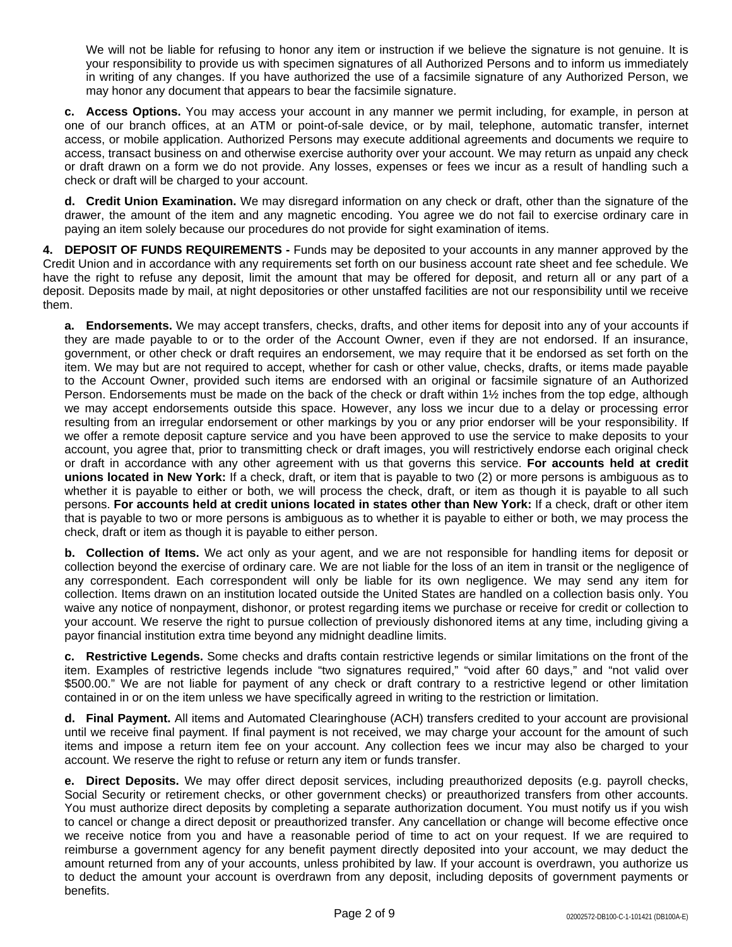We will not be liable for refusing to honor any item or instruction if we believe the signature is not genuine. It is your responsibility to provide us with specimen signatures of all Authorized Persons and to inform us immediately in writing of any changes. If you have authorized the use of a facsimile signature of any Authorized Person, we may honor any document that appears to bear the facsimile signature.

**c. Access Options.** You may access your account in any manner we permit including, for example, in person at one of our branch offices, at an ATM or point-of-sale device, or by mail, telephone, automatic transfer, internet access, or mobile application. Authorized Persons may execute additional agreements and documents we require to access, transact business on and otherwise exercise authority over your account. We may return as unpaid any check or draft drawn on a form we do not provide. Any losses, expenses or fees we incur as a result of handling such a check or draft will be charged to your account.

**d. Credit Union Examination.** We may disregard information on any check or draft, other than the signature of the drawer, the amount of the item and any magnetic encoding. You agree we do not fail to exercise ordinary care in paying an item solely because our procedures do not provide for sight examination of items.

**4. DEPOSIT OF FUNDS REQUIREMENTS -** Funds may be deposited to your accounts in any manner approved by the Credit Union and in accordance with any requirements set forth on our business account rate sheet and fee schedule. We have the right to refuse any deposit, limit the amount that may be offered for deposit, and return all or any part of a deposit. Deposits made by mail, at night depositories or other unstaffed facilities are not our responsibility until we receive them.

**a. Endorsements.** We may accept transfers, checks, drafts, and other items for deposit into any of your accounts if they are made payable to or to the order of the Account Owner, even if they are not endorsed. If an insurance, government, or other check or draft requires an endorsement, we may require that it be endorsed as set forth on the item. We may but are not required to accept, whether for cash or other value, checks, drafts, or items made payable to the Account Owner, provided such items are endorsed with an original or facsimile signature of an Authorized Person. Endorsements must be made on the back of the check or draft within 1½ inches from the top edge, although we may accept endorsements outside this space. However, any loss we incur due to a delay or processing error resulting from an irregular endorsement or other markings by you or any prior endorser will be your responsibility. If we offer a remote deposit capture service and you have been approved to use the service to make deposits to your account, you agree that, prior to transmitting check or draft images, you will restrictively endorse each original check or draft in accordance with any other agreement with us that governs this service. **For accounts held at credit unions located in New York:** If a check, draft, or item that is payable to two (2) or more persons is ambiguous as to whether it is payable to either or both, we will process the check, draft, or item as though it is payable to all such persons. **For accounts held at credit unions located in states other than New York:** If a check, draft or other item that is payable to two or more persons is ambiguous as to whether it is payable to either or both, we may process the check, draft or item as though it is payable to either person.

**b. Collection of Items.** We act only as your agent, and we are not responsible for handling items for deposit or collection beyond the exercise of ordinary care. We are not liable for the loss of an item in transit or the negligence of any correspondent. Each correspondent will only be liable for its own negligence. We may send any item for collection. Items drawn on an institution located outside the United States are handled on a collection basis only. You waive any notice of nonpayment, dishonor, or protest regarding items we purchase or receive for credit or collection to your account. We reserve the right to pursue collection of previously dishonored items at any time, including giving a payor financial institution extra time beyond any midnight deadline limits.

**c. Restrictive Legends.** Some checks and drafts contain restrictive legends or similar limitations on the front of the item. Examples of restrictive legends include "two signatures required," "void after 60 days," and "not valid over \$500.00." We are not liable for payment of any check or draft contrary to a restrictive legend or other limitation contained in or on the item unless we have specifically agreed in writing to the restriction or limitation.

**d. Final Payment.** All items and Automated Clearinghouse (ACH) transfers credited to your account are provisional until we receive final payment. If final payment is not received, we may charge your account for the amount of such items and impose a return item fee on your account. Any collection fees we incur may also be charged to your account. We reserve the right to refuse or return any item or funds transfer.

**e. Direct Deposits.** We may offer direct deposit services, including preauthorized deposits (e.g. payroll checks, Social Security or retirement checks, or other government checks) or preauthorized transfers from other accounts. You must authorize direct deposits by completing a separate authorization document. You must notify us if you wish to cancel or change a direct deposit or preauthorized transfer. Any cancellation or change will become effective once we receive notice from you and have a reasonable period of time to act on your request. If we are required to reimburse a government agency for any benefit payment directly deposited into your account, we may deduct the amount returned from any of your accounts, unless prohibited by law. If your account is overdrawn, you authorize us to deduct the amount your account is overdrawn from any deposit, including deposits of government payments or benefits.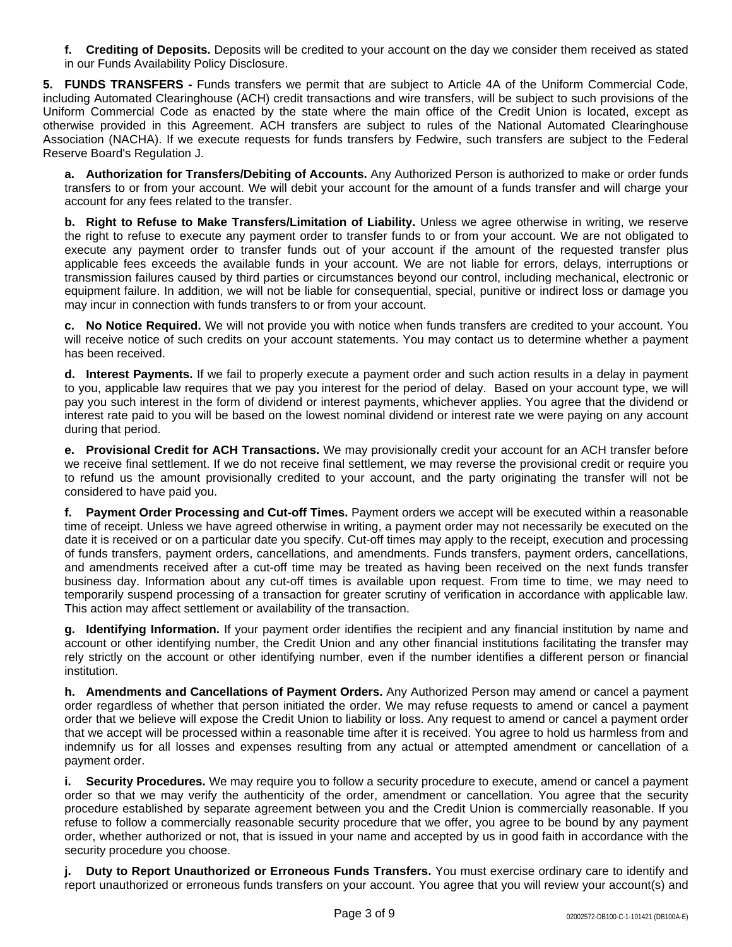**f. Crediting of Deposits.** Deposits will be credited to your account on the day we consider them received as stated in our Funds Availability Policy Disclosure.

**5. FUNDS TRANSFERS -** Funds transfers we permit that are subject to Article 4A of the Uniform Commercial Code, including Automated Clearinghouse (ACH) credit transactions and wire transfers, will be subject to such provisions of the Uniform Commercial Code as enacted by the state where the main office of the Credit Union is located, except as otherwise provided in this Agreement. ACH transfers are subject to rules of the National Automated Clearinghouse Association (NACHA). If we execute requests for funds transfers by Fedwire, such transfers are subject to the Federal Reserve Board's Regulation J.

**a. Authorization for Transfers/Debiting of Accounts.** Any Authorized Person is authorized to make or order funds transfers to or from your account. We will debit your account for the amount of a funds transfer and will charge your account for any fees related to the transfer.

**b. Right to Refuse to Make Transfers/Limitation of Liability.** Unless we agree otherwise in writing, we reserve the right to refuse to execute any payment order to transfer funds to or from your account. We are not obligated to execute any payment order to transfer funds out of your account if the amount of the requested transfer plus applicable fees exceeds the available funds in your account. We are not liable for errors, delays, interruptions or transmission failures caused by third parties or circumstances beyond our control, including mechanical, electronic or equipment failure. In addition, we will not be liable for consequential, special, punitive or indirect loss or damage you may incur in connection with funds transfers to or from your account.

**c. No Notice Required.** We will not provide you with notice when funds transfers are credited to your account. You will receive notice of such credits on your account statements. You may contact us to determine whether a payment has been received.

**d. Interest Payments.** If we fail to properly execute a payment order and such action results in a delay in payment to you, applicable law requires that we pay you interest for the period of delay. Based on your account type, we will pay you such interest in the form of dividend or interest payments, whichever applies. You agree that the dividend or interest rate paid to you will be based on the lowest nominal dividend or interest rate we were paying on any account during that period.

**e. Provisional Credit for ACH Transactions.** We may provisionally credit your account for an ACH transfer before we receive final settlement. If we do not receive final settlement, we may reverse the provisional credit or require you to refund us the amount provisionally credited to your account, and the party originating the transfer will not be considered to have paid you.

**f. Payment Order Processing and Cut-off Times.** Payment orders we accept will be executed within a reasonable time of receipt. Unless we have agreed otherwise in writing, a payment order may not necessarily be executed on the date it is received or on a particular date you specify. Cut-off times may apply to the receipt, execution and processing of funds transfers, payment orders, cancellations, and amendments. Funds transfers, payment orders, cancellations, and amendments received after a cut-off time may be treated as having been received on the next funds transfer business day. Information about any cut-off times is available upon request. From time to time, we may need to temporarily suspend processing of a transaction for greater scrutiny of verification in accordance with applicable law. This action may affect settlement or availability of the transaction.

**g. Identifying Information.** If your payment order identifies the recipient and any financial institution by name and account or other identifying number, the Credit Union and any other financial institutions facilitating the transfer may rely strictly on the account or other identifying number, even if the number identifies a different person or financial institution.

**h. Amendments and Cancellations of Payment Orders.** Any Authorized Person may amend or cancel a payment order regardless of whether that person initiated the order. We may refuse requests to amend or cancel a payment order that we believe will expose the Credit Union to liability or loss. Any request to amend or cancel a payment order that we accept will be processed within a reasonable time after it is received. You agree to hold us harmless from and indemnify us for all losses and expenses resulting from any actual or attempted amendment or cancellation of a payment order.

**i. Security Procedures.** We may require you to follow a security procedure to execute, amend or cancel a payment order so that we may verify the authenticity of the order, amendment or cancellation. You agree that the security procedure established by separate agreement between you and the Credit Union is commercially reasonable. If you refuse to follow a commercially reasonable security procedure that we offer, you agree to be bound by any payment order, whether authorized or not, that is issued in your name and accepted by us in good faith in accordance with the security procedure you choose.

**j. Duty to Report Unauthorized or Erroneous Funds Transfers.** You must exercise ordinary care to identify and report unauthorized or erroneous funds transfers on your account. You agree that you will review your account(s) and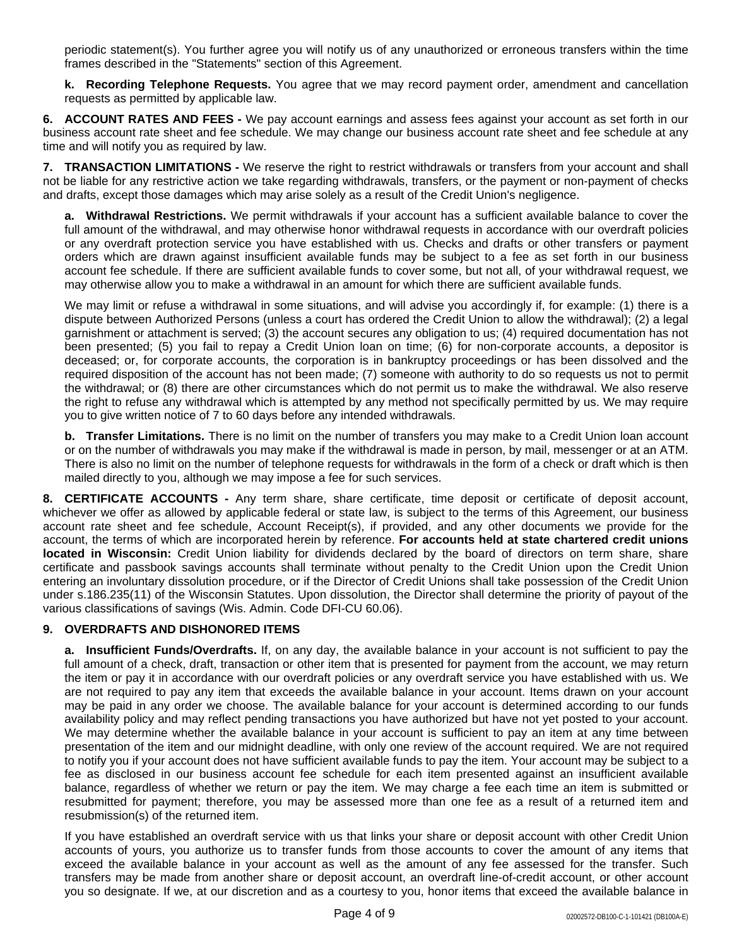periodic statement(s). You further agree you will notify us of any unauthorized or erroneous transfers within the time frames described in the "Statements" section of this Agreement.

**k. Recording Telephone Requests.** You agree that we may record payment order, amendment and cancellation requests as permitted by applicable law.

**6. ACCOUNT RATES AND FEES -** We pay account earnings and assess fees against your account as set forth in our business account rate sheet and fee schedule. We may change our business account rate sheet and fee schedule at any time and will notify you as required by law.

**7. TRANSACTION LIMITATIONS -** We reserve the right to restrict withdrawals or transfers from your account and shall not be liable for any restrictive action we take regarding withdrawals, transfers, or the payment or non-payment of checks and drafts, except those damages which may arise solely as a result of the Credit Union's negligence.

**a. Withdrawal Restrictions.** We permit withdrawals if your account has a sufficient available balance to cover the full amount of the withdrawal, and may otherwise honor withdrawal requests in accordance with our overdraft policies or any overdraft protection service you have established with us. Checks and drafts or other transfers or payment orders which are drawn against insufficient available funds may be subject to a fee as set forth in our business account fee schedule. If there are sufficient available funds to cover some, but not all, of your withdrawal request, we may otherwise allow you to make a withdrawal in an amount for which there are sufficient available funds.

We may limit or refuse a withdrawal in some situations, and will advise you accordingly if, for example: (1) there is a dispute between Authorized Persons (unless a court has ordered the Credit Union to allow the withdrawal); (2) a legal garnishment or attachment is served; (3) the account secures any obligation to us; (4) required documentation has not been presented; (5) you fail to repay a Credit Union loan on time; (6) for non-corporate accounts, a depositor is deceased; or, for corporate accounts, the corporation is in bankruptcy proceedings or has been dissolved and the required disposition of the account has not been made; (7) someone with authority to do so requests us not to permit the withdrawal; or (8) there are other circumstances which do not permit us to make the withdrawal. We also reserve the right to refuse any withdrawal which is attempted by any method not specifically permitted by us. We may require you to give written notice of 7 to 60 days before any intended withdrawals.

**b. Transfer Limitations.** There is no limit on the number of transfers you may make to a Credit Union loan account or on the number of withdrawals you may make if the withdrawal is made in person, by mail, messenger or at an ATM. There is also no limit on the number of telephone requests for withdrawals in the form of a check or draft which is then mailed directly to you, although we may impose a fee for such services.

**8. CERTIFICATE ACCOUNTS -** Any term share, share certificate, time deposit or certificate of deposit account, whichever we offer as allowed by applicable federal or state law, is subject to the terms of this Agreement, our business account rate sheet and fee schedule, Account Receipt(s), if provided, and any other documents we provide for the account, the terms of which are incorporated herein by reference. **For accounts held at state chartered credit unions located in Wisconsin:** Credit Union liability for dividends declared by the board of directors on term share, share certificate and passbook savings accounts shall terminate without penalty to the Credit Union upon the Credit Union entering an involuntary dissolution procedure, or if the Director of Credit Unions shall take possession of the Credit Union under s.186.235(11) of the Wisconsin Statutes. Upon dissolution, the Director shall determine the priority of payout of the various classifications of savings (Wis. Admin. Code DFI-CU 60.06).

#### **9. OVERDRAFTS AND DISHONORED ITEMS**

**a. Insufficient Funds/Overdrafts.** If, on any day, the available balance in your account is not sufficient to pay the full amount of a check, draft, transaction or other item that is presented for payment from the account, we may return the item or pay it in accordance with our overdraft policies or any overdraft service you have established with us. We are not required to pay any item that exceeds the available balance in your account. Items drawn on your account may be paid in any order we choose. The available balance for your account is determined according to our funds availability policy and may reflect pending transactions you have authorized but have not yet posted to your account. We may determine whether the available balance in your account is sufficient to pay an item at any time between presentation of the item and our midnight deadline, with only one review of the account required. We are not required to notify you if your account does not have sufficient available funds to pay the item. Your account may be subject to a fee as disclosed in our business account fee schedule for each item presented against an insufficient available balance, regardless of whether we return or pay the item. We may charge a fee each time an item is submitted or resubmitted for payment; therefore, you may be assessed more than one fee as a result of a returned item and resubmission(s) of the returned item.

If you have established an overdraft service with us that links your share or deposit account with other Credit Union accounts of yours, you authorize us to transfer funds from those accounts to cover the amount of any items that exceed the available balance in your account as well as the amount of any fee assessed for the transfer. Such transfers may be made from another share or deposit account, an overdraft line-of-credit account, or other account you so designate. If we, at our discretion and as a courtesy to you, honor items that exceed the available balance in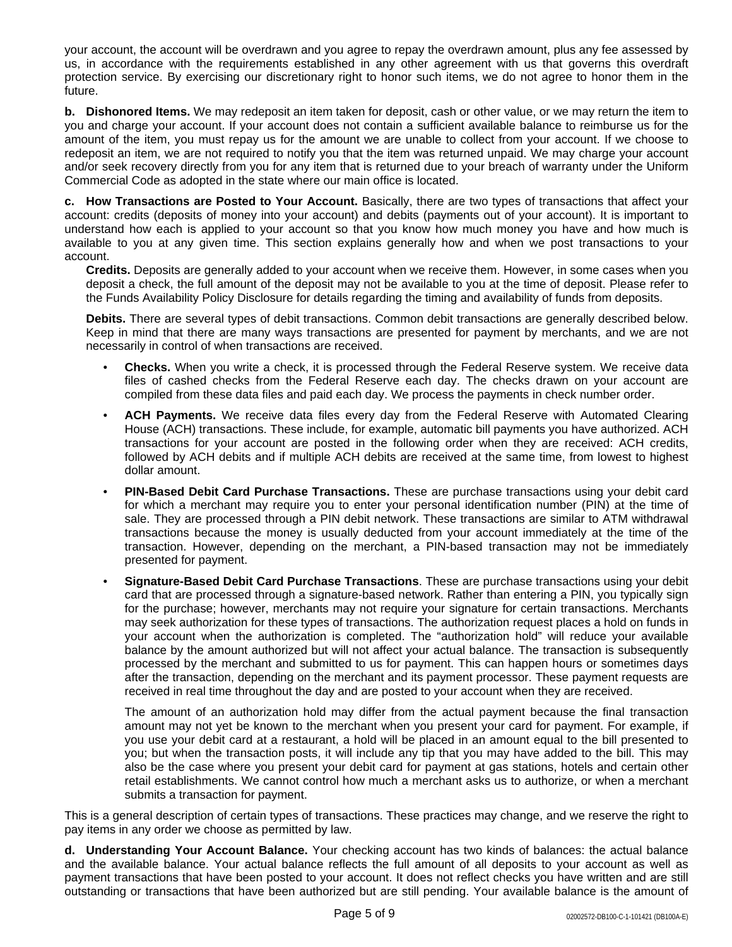your account, the account will be overdrawn and you agree to repay the overdrawn amount, plus any fee assessed by us, in accordance with the requirements established in any other agreement with us that governs this overdraft protection service. By exercising our discretionary right to honor such items, we do not agree to honor them in the future.

**b. Dishonored Items.** We may redeposit an item taken for deposit, cash or other value, or we may return the item to you and charge your account. If your account does not contain a sufficient available balance to reimburse us for the amount of the item, you must repay us for the amount we are unable to collect from your account. If we choose to redeposit an item, we are not required to notify you that the item was returned unpaid. We may charge your account and/or seek recovery directly from you for any item that is returned due to your breach of warranty under the Uniform Commercial Code as adopted in the state where our main office is located.

**c. How Transactions are Posted to Your Account.** Basically, there are two types of transactions that affect your account: credits (deposits of money into your account) and debits (payments out of your account). It is important to understand how each is applied to your account so that you know how much money you have and how much is available to you at any given time. This section explains generally how and when we post transactions to your account.

**Credits.** Deposits are generally added to your account when we receive them. However, in some cases when you deposit a check, the full amount of the deposit may not be available to you at the time of deposit. Please refer to the Funds Availability Policy Disclosure for details regarding the timing and availability of funds from deposits.

**Debits.** There are several types of debit transactions. Common debit transactions are generally described below. Keep in mind that there are many ways transactions are presented for payment by merchants, and we are not necessarily in control of when transactions are received.

- **Checks.** When you write a check, it is processed through the Federal Reserve system. We receive data files of cashed checks from the Federal Reserve each day. The checks drawn on your account are compiled from these data files and paid each day. We process the payments in check number order.
- **ACH Payments.** We receive data files every day from the Federal Reserve with Automated Clearing House (ACH) transactions. These include, for example, automatic bill payments you have authorized. ACH transactions for your account are posted in the following order when they are received: ACH credits, followed by ACH debits and if multiple ACH debits are received at the same time, from lowest to highest dollar amount.
- **PIN-Based Debit Card Purchase Transactions.** These are purchase transactions using your debit card for which a merchant may require you to enter your personal identification number (PIN) at the time of sale. They are processed through a PIN debit network. These transactions are similar to ATM withdrawal transactions because the money is usually deducted from your account immediately at the time of the transaction. However, depending on the merchant, a PIN-based transaction may not be immediately presented for payment.
- **Signature-Based Debit Card Purchase Transactions**. These are purchase transactions using your debit card that are processed through a signature-based network. Rather than entering a PIN, you typically sign for the purchase; however, merchants may not require your signature for certain transactions. Merchants may seek authorization for these types of transactions. The authorization request places a hold on funds in your account when the authorization is completed. The "authorization hold" will reduce your available balance by the amount authorized but will not affect your actual balance. The transaction is subsequently processed by the merchant and submitted to us for payment. This can happen hours or sometimes days after the transaction, depending on the merchant and its payment processor. These payment requests are received in real time throughout the day and are posted to your account when they are received.

The amount of an authorization hold may differ from the actual payment because the final transaction amount may not yet be known to the merchant when you present your card for payment. For example, if you use your debit card at a restaurant, a hold will be placed in an amount equal to the bill presented to you; but when the transaction posts, it will include any tip that you may have added to the bill. This may also be the case where you present your debit card for payment at gas stations, hotels and certain other retail establishments. We cannot control how much a merchant asks us to authorize, or when a merchant submits a transaction for payment.

This is a general description of certain types of transactions. These practices may change, and we reserve the right to pay items in any order we choose as permitted by law.

**d. Understanding Your Account Balance.** Your checking account has two kinds of balances: the actual balance and the available balance. Your actual balance reflects the full amount of all deposits to your account as well as payment transactions that have been posted to your account. It does not reflect checks you have written and are still outstanding or transactions that have been authorized but are still pending. Your available balance is the amount of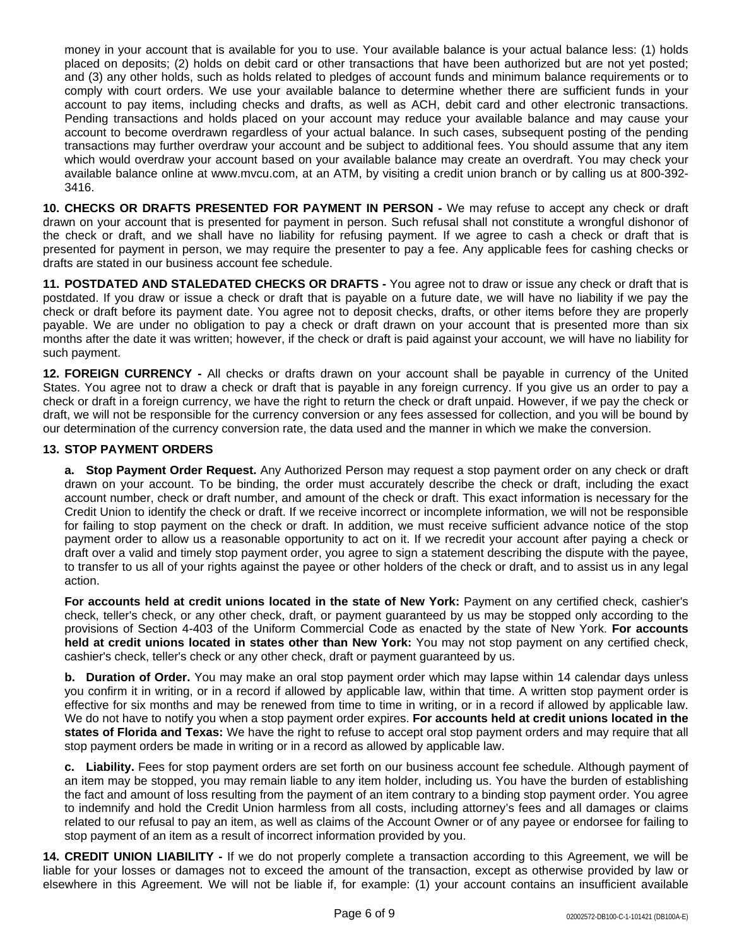money in your account that is available for you to use. Your available balance is your actual balance less: (1) holds placed on deposits; (2) holds on debit card or other transactions that have been authorized but are not yet posted; and (3) any other holds, such as holds related to pledges of account funds and minimum balance requirements or to comply with court orders. We use your available balance to determine whether there are sufficient funds in your account to pay items, including checks and drafts, as well as ACH, debit card and other electronic transactions. Pending transactions and holds placed on your account may reduce your available balance and may cause your account to become overdrawn regardless of your actual balance. In such cases, subsequent posting of the pending transactions may further overdraw your account and be subject to additional fees. You should assume that any item which would overdraw your account based on your available balance may create an overdraft. You may check your available balance online at www.mvcu.com, at an ATM, by visiting a credit union branch or by calling us at 800-392- 3416.

**10. CHECKS OR DRAFTS PRESENTED FOR PAYMENT IN PERSON -** We may refuse to accept any check or draft drawn on your account that is presented for payment in person. Such refusal shall not constitute a wrongful dishonor of the check or draft, and we shall have no liability for refusing payment. If we agree to cash a check or draft that is presented for payment in person, we may require the presenter to pay a fee. Any applicable fees for cashing checks or drafts are stated in our business account fee schedule.

**11. POSTDATED AND STALEDATED CHECKS OR DRAFTS -** You agree not to draw or issue any check or draft that is postdated. If you draw or issue a check or draft that is payable on a future date, we will have no liability if we pay the check or draft before its payment date. You agree not to deposit checks, drafts, or other items before they are properly payable. We are under no obligation to pay a check or draft drawn on your account that is presented more than six months after the date it was written; however, if the check or draft is paid against your account, we will have no liability for such payment.

**12. FOREIGN CURRENCY -** All checks or drafts drawn on your account shall be payable in currency of the United States. You agree not to draw a check or draft that is payable in any foreign currency. If you give us an order to pay a check or draft in a foreign currency, we have the right to return the check or draft unpaid. However, if we pay the check or draft, we will not be responsible for the currency conversion or any fees assessed for collection, and you will be bound by our determination of the currency conversion rate, the data used and the manner in which we make the conversion.

#### **13. STOP PAYMENT ORDERS**

**a. Stop Payment Order Request.** Any Authorized Person may request a stop payment order on any check or draft drawn on your account. To be binding, the order must accurately describe the check or draft, including the exact account number, check or draft number, and amount of the check or draft. This exact information is necessary for the Credit Union to identify the check or draft. If we receive incorrect or incomplete information, we will not be responsible for failing to stop payment on the check or draft. In addition, we must receive sufficient advance notice of the stop payment order to allow us a reasonable opportunity to act on it. If we recredit your account after paying a check or draft over a valid and timely stop payment order, you agree to sign a statement describing the dispute with the payee, to transfer to us all of your rights against the payee or other holders of the check or draft, and to assist us in any legal action.

**For accounts held at credit unions located in the state of New York:** Payment on any certified check, cashier's check, teller's check, or any other check, draft, or payment guaranteed by us may be stopped only according to the provisions of Section 4-403 of the Uniform Commercial Code as enacted by the state of New York. **For accounts held at credit unions located in states other than New York:** You may not stop payment on any certified check, cashier's check, teller's check or any other check, draft or payment guaranteed by us.

**b. Duration of Order.** You may make an oral stop payment order which may lapse within 14 calendar days unless you confirm it in writing, or in a record if allowed by applicable law, within that time. A written stop payment order is effective for six months and may be renewed from time to time in writing, or in a record if allowed by applicable law. We do not have to notify you when a stop payment order expires. **For accounts held at credit unions located in the states of Florida and Texas:** We have the right to refuse to accept oral stop payment orders and may require that all stop payment orders be made in writing or in a record as allowed by applicable law.

**c. Liability.** Fees for stop payment orders are set forth on our business account fee schedule. Although payment of an item may be stopped, you may remain liable to any item holder, including us. You have the burden of establishing the fact and amount of loss resulting from the payment of an item contrary to a binding stop payment order. You agree to indemnify and hold the Credit Union harmless from all costs, including attorney's fees and all damages or claims related to our refusal to pay an item, as well as claims of the Account Owner or of any payee or endorsee for failing to stop payment of an item as a result of incorrect information provided by you.

**14. CREDIT UNION LIABILITY -** If we do not properly complete a transaction according to this Agreement, we will be liable for your losses or damages not to exceed the amount of the transaction, except as otherwise provided by law or elsewhere in this Agreement. We will not be liable if, for example: (1) your account contains an insufficient available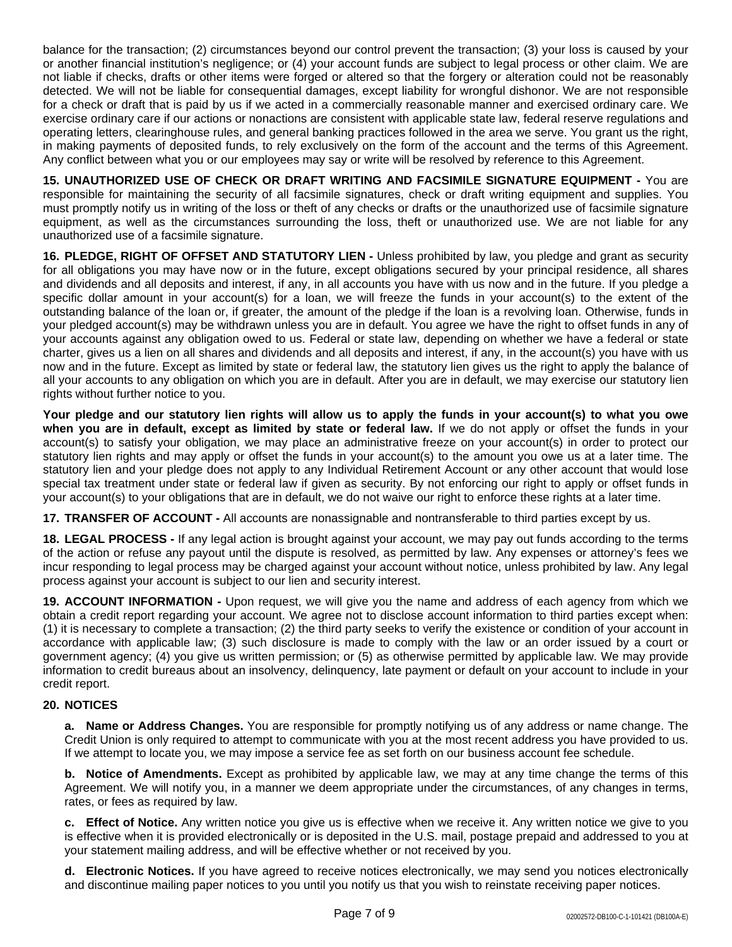balance for the transaction; (2) circumstances beyond our control prevent the transaction; (3) your loss is caused by your or another financial institution's negligence; or (4) your account funds are subject to legal process or other claim. We are not liable if checks, drafts or other items were forged or altered so that the forgery or alteration could not be reasonably detected. We will not be liable for consequential damages, except liability for wrongful dishonor. We are not responsible for a check or draft that is paid by us if we acted in a commercially reasonable manner and exercised ordinary care. We exercise ordinary care if our actions or nonactions are consistent with applicable state law, federal reserve regulations and operating letters, clearinghouse rules, and general banking practices followed in the area we serve. You grant us the right, in making payments of deposited funds, to rely exclusively on the form of the account and the terms of this Agreement. Any conflict between what you or our employees may say or write will be resolved by reference to this Agreement.

**15. UNAUTHORIZED USE OF CHECK OR DRAFT WRITING AND FACSIMILE SIGNATURE EQUIPMENT -** You are responsible for maintaining the security of all facsimile signatures, check or draft writing equipment and supplies. You must promptly notify us in writing of the loss or theft of any checks or drafts or the unauthorized use of facsimile signature equipment, as well as the circumstances surrounding the loss, theft or unauthorized use. We are not liable for any unauthorized use of a facsimile signature.

**16. PLEDGE, RIGHT OF OFFSET AND STATUTORY LIEN -** Unless prohibited by law, you pledge and grant as security for all obligations you may have now or in the future, except obligations secured by your principal residence, all shares and dividends and all deposits and interest, if any, in all accounts you have with us now and in the future. If you pledge a specific dollar amount in your account(s) for a loan, we will freeze the funds in your account(s) to the extent of the outstanding balance of the loan or, if greater, the amount of the pledge if the loan is a revolving loan. Otherwise, funds in your pledged account(s) may be withdrawn unless you are in default. You agree we have the right to offset funds in any of your accounts against any obligation owed to us. Federal or state law, depending on whether we have a federal or state charter, gives us a lien on all shares and dividends and all deposits and interest, if any, in the account(s) you have with us now and in the future. Except as limited by state or federal law, the statutory lien gives us the right to apply the balance of all your accounts to any obligation on which you are in default. After you are in default, we may exercise our statutory lien rights without further notice to you.

Your pledge and our statutory lien rights will allow us to apply the funds in your account(s) to what you owe **when you are in default, except as limited by state or federal law.** If we do not apply or offset the funds in your account(s) to satisfy your obligation, we may place an administrative freeze on your account(s) in order to protect our statutory lien rights and may apply or offset the funds in your account(s) to the amount you owe us at a later time. The statutory lien and your pledge does not apply to any Individual Retirement Account or any other account that would lose special tax treatment under state or federal law if given as security. By not enforcing our right to apply or offset funds in your account(s) to your obligations that are in default, we do not waive our right to enforce these rights at a later time.

**17. TRANSFER OF ACCOUNT -** All accounts are nonassignable and nontransferable to third parties except by us.

**18. LEGAL PROCESS -** If any legal action is brought against your account, we may pay out funds according to the terms of the action or refuse any payout until the dispute is resolved, as permitted by law. Any expenses or attorney's fees we incur responding to legal process may be charged against your account without notice, unless prohibited by law. Any legal process against your account is subject to our lien and security interest.

**19. ACCOUNT INFORMATION -** Upon request, we will give you the name and address of each agency from which we obtain a credit report regarding your account. We agree not to disclose account information to third parties except when: (1) it is necessary to complete a transaction; (2) the third party seeks to verify the existence or condition of your account in accordance with applicable law; (3) such disclosure is made to comply with the law or an order issued by a court or government agency; (4) you give us written permission; or (5) as otherwise permitted by applicable law. We may provide information to credit bureaus about an insolvency, delinquency, late payment or default on your account to include in your credit report.

## **20. NOTICES**

**a. Name or Address Changes.** You are responsible for promptly notifying us of any address or name change. The Credit Union is only required to attempt to communicate with you at the most recent address you have provided to us. If we attempt to locate you, we may impose a service fee as set forth on our business account fee schedule.

**b. Notice of Amendments.** Except as prohibited by applicable law, we may at any time change the terms of this Agreement. We will notify you, in a manner we deem appropriate under the circumstances, of any changes in terms, rates, or fees as required by law.

**c. Effect of Notice.** Any written notice you give us is effective when we receive it. Any written notice we give to you is effective when it is provided electronically or is deposited in the U.S. mail, postage prepaid and addressed to you at your statement mailing address, and will be effective whether or not received by you.

**d. Electronic Notices.** If you have agreed to receive notices electronically, we may send you notices electronically and discontinue mailing paper notices to you until you notify us that you wish to reinstate receiving paper notices.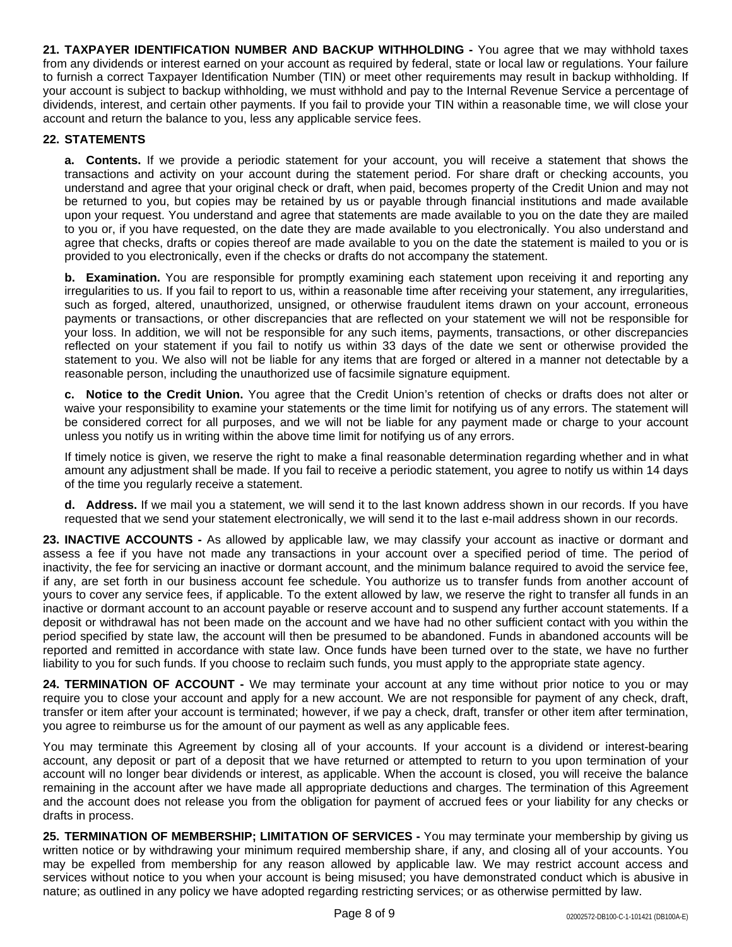**21. TAXPAYER IDENTIFICATION NUMBER AND BACKUP WITHHOLDING -** You agree that we may withhold taxes from any dividends or interest earned on your account as required by federal, state or local law or regulations. Your failure to furnish a correct Taxpayer Identification Number (TIN) or meet other requirements may result in backup withholding. If your account is subject to backup withholding, we must withhold and pay to the Internal Revenue Service a percentage of dividends, interest, and certain other payments. If you fail to provide your TIN within a reasonable time, we will close your account and return the balance to you, less any applicable service fees.

## **22. STATEMENTS**

**a. Contents.** If we provide a periodic statement for your account, you will receive a statement that shows the transactions and activity on your account during the statement period. For share draft or checking accounts, you understand and agree that your original check or draft, when paid, becomes property of the Credit Union and may not be returned to you, but copies may be retained by us or payable through financial institutions and made available upon your request. You understand and agree that statements are made available to you on the date they are mailed to you or, if you have requested, on the date they are made available to you electronically. You also understand and agree that checks, drafts or copies thereof are made available to you on the date the statement is mailed to you or is provided to you electronically, even if the checks or drafts do not accompany the statement.

**b. Examination.** You are responsible for promptly examining each statement upon receiving it and reporting any irregularities to us. If you fail to report to us, within a reasonable time after receiving your statement, any irregularities, such as forged, altered, unauthorized, unsigned, or otherwise fraudulent items drawn on your account, erroneous payments or transactions, or other discrepancies that are reflected on your statement we will not be responsible for your loss. In addition, we will not be responsible for any such items, payments, transactions, or other discrepancies reflected on your statement if you fail to notify us within 33 days of the date we sent or otherwise provided the statement to you. We also will not be liable for any items that are forged or altered in a manner not detectable by a reasonable person, including the unauthorized use of facsimile signature equipment.

**c. Notice to the Credit Union.** You agree that the Credit Union's retention of checks or drafts does not alter or waive your responsibility to examine your statements or the time limit for notifying us of any errors. The statement will be considered correct for all purposes, and we will not be liable for any payment made or charge to your account unless you notify us in writing within the above time limit for notifying us of any errors.

If timely notice is given, we reserve the right to make a final reasonable determination regarding whether and in what amount any adjustment shall be made. If you fail to receive a periodic statement, you agree to notify us within 14 days of the time you regularly receive a statement.

**d. Address.** If we mail you a statement, we will send it to the last known address shown in our records. If you have requested that we send your statement electronically, we will send it to the last e-mail address shown in our records.

**23. INACTIVE ACCOUNTS -** As allowed by applicable law, we may classify your account as inactive or dormant and assess a fee if you have not made any transactions in your account over a specified period of time. The period of inactivity, the fee for servicing an inactive or dormant account, and the minimum balance required to avoid the service fee, if any, are set forth in our business account fee schedule. You authorize us to transfer funds from another account of yours to cover any service fees, if applicable. To the extent allowed by law, we reserve the right to transfer all funds in an inactive or dormant account to an account payable or reserve account and to suspend any further account statements. If a deposit or withdrawal has not been made on the account and we have had no other sufficient contact with you within the period specified by state law, the account will then be presumed to be abandoned. Funds in abandoned accounts will be reported and remitted in accordance with state law. Once funds have been turned over to the state, we have no further liability to you for such funds. If you choose to reclaim such funds, you must apply to the appropriate state agency.

**24. TERMINATION OF ACCOUNT -** We may terminate your account at any time without prior notice to you or may require you to close your account and apply for a new account. We are not responsible for payment of any check, draft, transfer or item after your account is terminated; however, if we pay a check, draft, transfer or other item after termination, you agree to reimburse us for the amount of our payment as well as any applicable fees.

You may terminate this Agreement by closing all of your accounts. If your account is a dividend or interest-bearing account, any deposit or part of a deposit that we have returned or attempted to return to you upon termination of your account will no longer bear dividends or interest, as applicable. When the account is closed, you will receive the balance remaining in the account after we have made all appropriate deductions and charges. The termination of this Agreement and the account does not release you from the obligation for payment of accrued fees or your liability for any checks or drafts in process.

**25. TERMINATION OF MEMBERSHIP; LIMITATION OF SERVICES -** You may terminate your membership by giving us written notice or by withdrawing your minimum required membership share, if any, and closing all of your accounts. You may be expelled from membership for any reason allowed by applicable law. We may restrict account access and services without notice to you when your account is being misused; you have demonstrated conduct which is abusive in nature; as outlined in any policy we have adopted regarding restricting services; or as otherwise permitted by law.